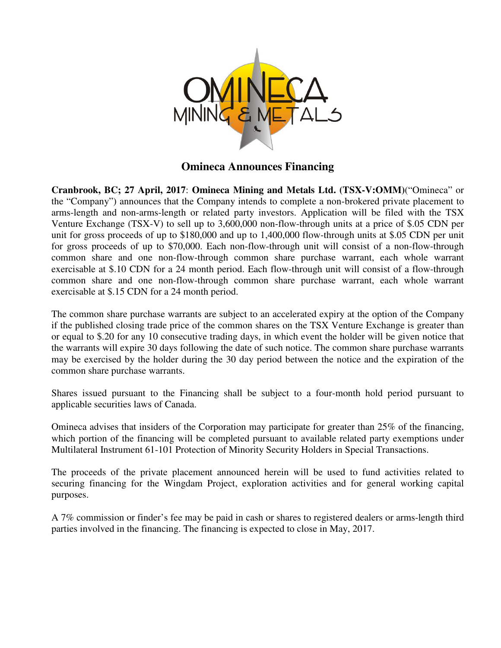

**Omineca Announces Financing** 

**Cranbrook, BC; 27 April, 2017**: **Omineca Mining and Metals Ltd. (TSX-V:OMM)**("Omineca" or the "Company") announces that the Company intends to complete a non-brokered private placement to arms-length and non-arms-length or related party investors. Application will be filed with the TSX Venture Exchange (TSX-V) to sell up to 3,600,000 non-flow-through units at a price of \$.05 CDN per unit for gross proceeds of up to \$180,000 and up to 1,400,000 flow-through units at \$.05 CDN per unit for gross proceeds of up to \$70,000. Each non-flow-through unit will consist of a non-flow-through common share and one non-flow-through common share purchase warrant, each whole warrant exercisable at \$.10 CDN for a 24 month period. Each flow-through unit will consist of a flow-through common share and one non-flow-through common share purchase warrant, each whole warrant exercisable at \$.15 CDN for a 24 month period.

The common share purchase warrants are subject to an accelerated expiry at the option of the Company if the published closing trade price of the common shares on the TSX Venture Exchange is greater than or equal to \$.20 for any 10 consecutive trading days, in which event the holder will be given notice that the warrants will expire 30 days following the date of such notice. The common share purchase warrants may be exercised by the holder during the 30 day period between the notice and the expiration of the common share purchase warrants.

Shares issued pursuant to the Financing shall be subject to a four-month hold period pursuant to applicable securities laws of Canada.

Omineca advises that insiders of the Corporation may participate for greater than 25% of the financing, which portion of the financing will be completed pursuant to available related party exemptions under Multilateral Instrument 61-101 Protection of Minority Security Holders in Special Transactions.

The proceeds of the private placement announced herein will be used to fund activities related to securing financing for the Wingdam Project, exploration activities and for general working capital purposes.

A 7% commission or finder's fee may be paid in cash or shares to registered dealers or arms-length third parties involved in the financing. The financing is expected to close in May, 2017.